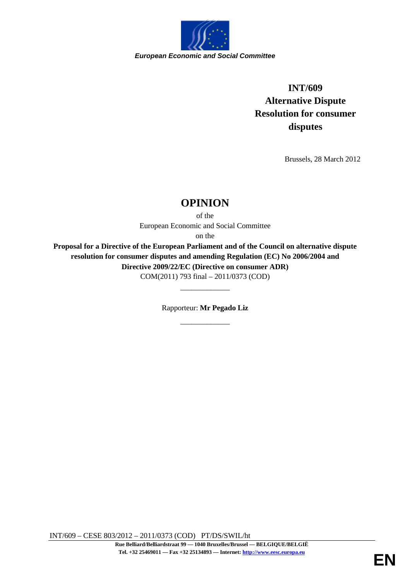

**INT/609 Alternative Dispute Resolution for consumer disputes** 

Brussels, 28 March 2012

# **OPINION**

of the European Economic and Social Committee

on the

**Proposal for a Directive of the European Parliament and of the Council on alternative dispute resolution for consumer disputes and amending Regulation (EC) No 2006/2004 and Directive 2009/22/EC (Directive on consumer ADR)** COM(2011) 793 final – 2011/0373 (COD)

> Rapporteur: **Mr Pegado Liz**  \_\_\_\_\_\_\_\_\_\_\_\_\_

\_\_\_\_\_\_\_\_\_\_\_\_\_

INT/609 – CESE 803/2012 – 2011/0373 (COD) PT/DS/SWIL/ht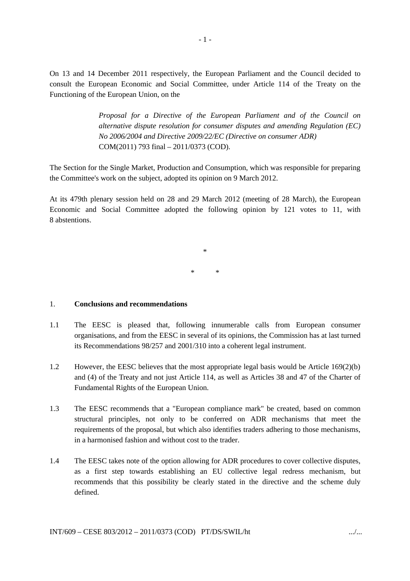On 13 and 14 December 2011 respectively, the European Parliament and the Council decided to consult the European Economic and Social Committee, under Article 114 of the Treaty on the Functioning of the European Union, on the

> *Proposal for a Directive of the European Parliament and of the Council on alternative dispute resolution for consumer disputes and amending Regulation (EC) No 2006/2004 and Directive 2009/22/EC (Directive on consumer ADR)* COM(2011) 793 final – 2011/0373 (COD).

The Section for the Single Market, Production and Consumption, which was responsible for preparing the Committee's work on the subject, adopted its opinion on 9 March 2012.

At its 479th plenary session held on 28 and 29 March 2012 (meeting of 28 March), the European Economic and Social Committee adopted the following opinion by 121 votes to 11, with 8 abstentions.

> \* \* \*

### 1. **Conclusions and recommendations**

- 1.1 The EESC is pleased that, following innumerable calls from European consumer organisations, and from the EESC in several of its opinions, the Commission has at last turned its Recommendations 98/257 and 2001/310 into a coherent legal instrument.
- 1.2 However, the EESC believes that the most appropriate legal basis would be Article 169(2)(b) and (4) of the Treaty and not just Article 114, as well as Articles 38 and 47 of the Charter of Fundamental Rights of the European Union.
- 1.3 The EESC recommends that a "European compliance mark" be created, based on common structural principles, not only to be conferred on ADR mechanisms that meet the requirements of the proposal, but which also identifies traders adhering to those mechanisms, in a harmonised fashion and without cost to the trader.
- 1.4 The EESC takes note of the option allowing for ADR procedures to cover collective disputes, as a first step towards establishing an EU collective legal redress mechanism, but recommends that this possibility be clearly stated in the directive and the scheme duly defined.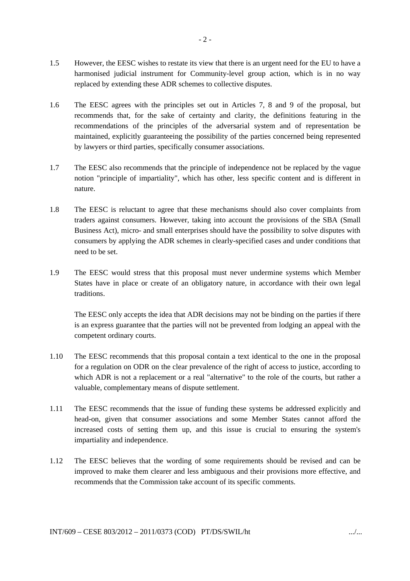- 1.5 However, the EESC wishes to restate its view that there is an urgent need for the EU to have a harmonised judicial instrument for Community-level group action, which is in no way replaced by extending these ADR schemes to collective disputes.
- 1.6 The EESC agrees with the principles set out in Articles 7, 8 and 9 of the proposal, but recommends that, for the sake of certainty and clarity, the definitions featuring in the recommendations of the principles of the adversarial system and of representation be maintained, explicitly guaranteeing the possibility of the parties concerned being represented by lawyers or third parties, specifically consumer associations.
- 1.7 The EESC also recommends that the principle of independence not be replaced by the vague notion "principle of impartiality", which has other, less specific content and is different in nature.
- 1.8 The EESC is reluctant to agree that these mechanisms should also cover complaints from traders against consumers. However, taking into account the provisions of the SBA (Small Business Act), micro- and small enterprises should have the possibility to solve disputes with consumers by applying the ADR schemes in clearly-specified cases and under conditions that need to be set.
- 1.9 The EESC would stress that this proposal must never undermine systems which Member States have in place or create of an obligatory nature, in accordance with their own legal traditions.

The EESC only accepts the idea that ADR decisions may not be binding on the parties if there is an express guarantee that the parties will not be prevented from lodging an appeal with the competent ordinary courts.

- 1.10 The EESC recommends that this proposal contain a text identical to the one in the proposal for a regulation on ODR on the clear prevalence of the right of access to justice, according to which ADR is not a replacement or a real "alternative" to the role of the courts, but rather a valuable, complementary means of dispute settlement.
- 1.11 The EESC recommends that the issue of funding these systems be addressed explicitly and head-on, given that consumer associations and some Member States cannot afford the increased costs of setting them up, and this issue is crucial to ensuring the system's impartiality and independence.
- 1.12 The EESC believes that the wording of some requirements should be revised and can be improved to make them clearer and less ambiguous and their provisions more effective, and recommends that the Commission take account of its specific comments.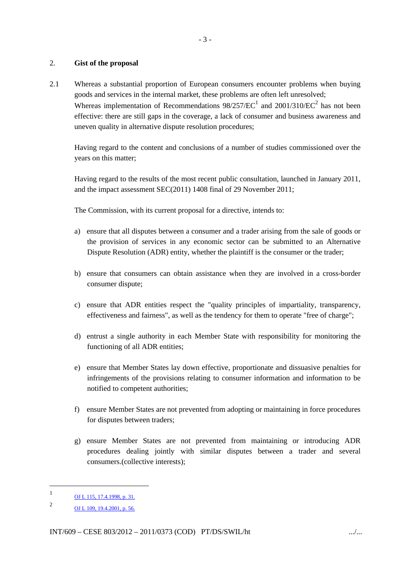## 2. **Gist of the proposal**

2.1 Whereas a substantial proportion of European consumers encounter problems when buying goods and services in the internal market, these problems are often left unresolved; Whereas implementation of Recommendations  $98/257/EC^1$  and  $2001/310/EC^2$  has not been effective: there are still gaps in the coverage, a lack of consumer and business awareness and uneven quality in alternative dispute resolution procedures;

Having regard to the content and conclusions of a number of studies commissioned over the years on this matter;

Having regard to the results of the most recent public consultation, launched in January 2011, and the impact assessment SEC(2011) 1408 final of 29 November 2011;

The Commission, with its current proposal for a directive, intends to:

- a) ensure that all disputes between a consumer and a trader arising from the sale of goods or the provision of services in any economic sector can be submitted to an Alternative Dispute Resolution (ADR) entity, whether the plaintiff is the consumer or the trader;
- b) ensure that consumers can obtain assistance when they are involved in a cross-border consumer dispute;
- c) ensure that ADR entities respect the "quality principles of impartiality, transparency, effectiveness and fairness", as well as the tendency for them to operate "free of charge";
- d) entrust a single authority in each Member State with responsibility for monitoring the functioning of all ADR entities;
- e) ensure that Member States lay down effective, proportionate and dissuasive penalties for infringements of the provisions relating to consumer information and information to be notified to competent authorities;
- f) ensure Member States are not prevented from adopting or maintaining in force procedures for disputes between traders;
- g) ensure Member States are not prevented from maintaining or introducing ADR procedures dealing jointly with similar disputes between a trader and several consumers.(collective interests);

l

<sup>1</sup> OJ L 115, 17.4.1998, p. 31.

 $\mathfrak{Z}$ OJ L 109, 19.4.2001, p. 56.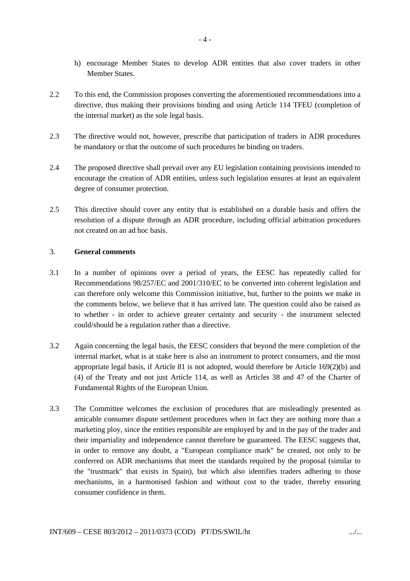- h) encourage Member States to develop ADR entities that also cover traders in other Member States.
- 2.2 To this end, the Commission proposes converting the aforementioned recommendations into a directive, thus making their provisions binding and using Article 114 TFEU (completion of the internal market) as the sole legal basis.
- 2.3 The directive would not, however, prescribe that participation of traders in ADR procedures be mandatory or that the outcome of such procedures be binding on traders.
- 2.4 The proposed directive shall prevail over any EU legislation containing provisions intended to encourage the creation of ADR entities, unless such legislation ensures at least an equivalent degree of consumer protection.
- 2.5 This directive should cover any entity that is established on a durable basis and offers the resolution of a dispute through an ADR procedure, including official arbitration procedures not created on an ad hoc basis.

# 3. **General comments**

- 3.1 In a number of opinions over a period of years, the EESC has repeatedly called for Recommendations 98/257/EC and 2001/310/EC to be converted into coherent legislation and can therefore only welcome this Commission initiative, but, further to the points we make in the comments below, we believe that it has arrived late. The question could also be raised as to whether - in order to achieve greater certainty and security - the instrument selected could/should be a regulation rather than a directive.
- 3.2 Again concerning the legal basis, the EESC considers that beyond the mere completion of the internal market, what is at stake here is also an instrument to protect consumers, and the most appropriate legal basis, if Article 81 is not adopted, would therefore be Article 169(2)(b) and (4) of the Treaty and not just Article 114, as well as Articles 38 and 47 of the Charter of Fundamental Rights of the European Union.
- 3.3 The Committee welcomes the exclusion of procedures that are misleadingly presented as amicable consumer dispute settlement procedures when in fact they are nothing more than a marketing ploy, since the entities responsible are employed by and in the pay of the trader and their impartiality and independence cannot therefore be guaranteed. The EESC suggests that, in order to remove any doubt, a "European compliance mark" be created, not only to be conferred on ADR mechanisms that meet the standards required by the proposal (similar to the "trustmark" that exists in Spain), but which also identifies traders adhering to those mechanisms, in a harmonised fashion and without cost to the trader, thereby ensuring consumer confidence in them.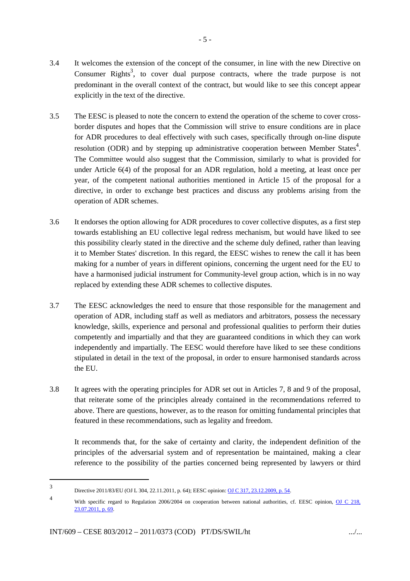- 3.4 It welcomes the extension of the concept of the consumer, in line with the new Directive on Consumer Rights<sup>3</sup>, to cover dual purpose contracts, where the trade purpose is not predominant in the overall context of the contract, but would like to see this concept appear explicitly in the text of the directive.
- 3.5 The EESC is pleased to note the concern to extend the operation of the scheme to cover crossborder disputes and hopes that the Commission will strive to ensure conditions are in place for ADR procedures to deal effectively with such cases, specifically through on-line dispute resolution (ODR) and by stepping up administrative cooperation between Member States<sup>4</sup>. The Committee would also suggest that the Commission, similarly to what is provided for under Article 6(4) of the proposal for an ADR regulation, hold a meeting, at least once per year, of the competent national authorities mentioned in Article 15 of the proposal for a directive, in order to exchange best practices and discuss any problems arising from the operation of ADR schemes.
- 3.6 It endorses the option allowing for ADR procedures to cover collective disputes, as a first step towards establishing an EU collective legal redress mechanism, but would have liked to see this possibility clearly stated in the directive and the scheme duly defined, rather than leaving it to Member States' discretion. In this regard, the EESC wishes to renew the call it has been making for a number of years in different opinions, concerning the urgent need for the EU to have a harmonised judicial instrument for Community-level group action, which is in no way replaced by extending these ADR schemes to collective disputes.
- 3.7 The EESC acknowledges the need to ensure that those responsible for the management and operation of ADR, including staff as well as mediators and arbitrators, possess the necessary knowledge, skills, experience and personal and professional qualities to perform their duties competently and impartially and that they are guaranteed conditions in which they can work independently and impartially. The EESC would therefore have liked to see these conditions stipulated in detail in the text of the proposal, in order to ensure harmonised standards across the EU.
- 3.8 It agrees with the operating principles for ADR set out in Articles 7, 8 and 9 of the proposal, that reiterate some of the principles already contained in the recommendations referred to above. There are questions, however, as to the reason for omitting fundamental principles that featured in these recommendations, such as legality and freedom.

It recommends that, for the sake of certainty and clarity, the independent definition of the principles of the adversarial system and of representation be maintained, making a clear reference to the possibility of the parties concerned being represented by lawyers or third

 $\overline{a}$ 

<sup>3</sup> Directive 2011/83/EU (OJ L 304, 22.11.2011, p. 64); EESC opinion: OJ C 317, 23.12.2009, p. 54.

<sup>4</sup> With specific regard to Regulation 2006/2004 on cooperation between national authorities, cf. EESC opinion, OJ C 218, 23.07.2011, p. 69.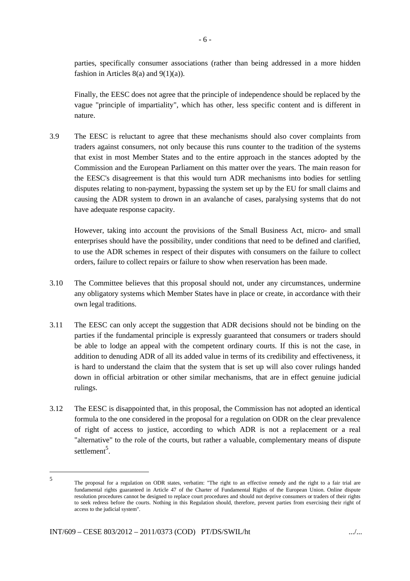parties, specifically consumer associations (rather than being addressed in a more hidden fashion in Articles  $8(a)$  and  $9(1)(a)$ .

Finally, the EESC does not agree that the principle of independence should be replaced by the vague "principle of impartiality", which has other, less specific content and is different in nature.

3.9 The EESC is reluctant to agree that these mechanisms should also cover complaints from traders against consumers, not only because this runs counter to the tradition of the systems that exist in most Member States and to the entire approach in the stances adopted by the Commission and the European Parliament on this matter over the years. The main reason for the EESC's disagreement is that this would turn ADR mechanisms into bodies for settling disputes relating to non-payment, bypassing the system set up by the EU for small claims and causing the ADR system to drown in an avalanche of cases, paralysing systems that do not have adequate response capacity.

However, taking into account the provisions of the Small Business Act, micro- and small enterprises should have the possibility, under conditions that need to be defined and clarified, to use the ADR schemes in respect of their disputes with consumers on the failure to collect orders, failure to collect repairs or failure to show when reservation has been made.

- 3.10 The Committee believes that this proposal should not, under any circumstances, undermine any obligatory systems which Member States have in place or create, in accordance with their own legal traditions.
- 3.11 The EESC can only accept the suggestion that ADR decisions should not be binding on the parties if the fundamental principle is expressly guaranteed that consumers or traders should be able to lodge an appeal with the competent ordinary courts. If this is not the case, in addition to denuding ADR of all its added value in terms of its credibility and effectiveness, it is hard to understand the claim that the system that is set up will also cover rulings handed down in official arbitration or other similar mechanisms, that are in effect genuine judicial rulings.
- 3.12 The EESC is disappointed that, in this proposal, the Commission has not adopted an identical formula to the one considered in the proposal for a regulation on ODR on the clear prevalence of right of access to justice, according to which ADR is not a replacement or a real "alternative" to the role of the courts, but rather a valuable, complementary means of dispute settlement<sup>5</sup>.

l

<sup>5</sup> The proposal for a regulation on ODR states, verbatim: "The right to an effective remedy and the right to a fair trial are fundamental rights guaranteed in Article 47 of the Charter of Fundamental Rights of the European Union. Online dispute resolution procedures cannot be designed to replace court procedures and should not deprive consumers or traders of their rights to seek redress before the courts. Nothing in this Regulation should, therefore, prevent parties from exercising their right of access to the judicial system".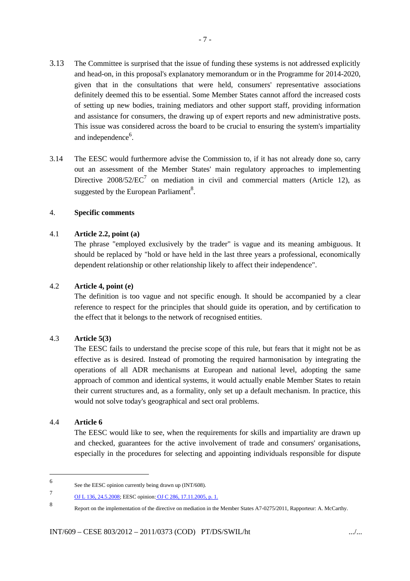- 3.13 The Committee is surprised that the issue of funding these systems is not addressed explicitly and head-on, in this proposal's explanatory memorandum or in the Programme for 2014-2020, given that in the consultations that were held, consumers' representative associations definitely deemed this to be essential. Some Member States cannot afford the increased costs of setting up new bodies, training mediators and other support staff, providing information and assistance for consumers, the drawing up of expert reports and new administrative posts. This issue was considered across the board to be crucial to ensuring the system's impartiality and independence<sup>6</sup>.
- 3.14 The EESC would furthermore advise the Commission to, if it has not already done so, carry out an assessment of the Member States' main regulatory approaches to implementing Directive 2008/52/ $\mathsf{EC}^7$  on mediation in civil and commercial matters (Article 12), as suggested by the European Parliament<sup>8</sup>.

# 4. **Specific comments**

# 4.1 **Article 2.2, point (a)**

The phrase "employed exclusively by the trader" is vague and its meaning ambiguous. It should be replaced by "hold or have held in the last three years a professional, economically dependent relationship or other relationship likely to affect their independence".

# 4.2 **Article 4, point (e)**

The definition is too vague and not specific enough. It should be accompanied by a clear reference to respect for the principles that should guide its operation, and by certification to the effect that it belongs to the network of recognised entities.

# 4.3 **Article 5(3)**

The EESC fails to understand the precise scope of this rule, but fears that it might not be as effective as is desired. Instead of promoting the required harmonisation by integrating the operations of all ADR mechanisms at European and national level, adopting the same approach of common and identical systems, it would actually enable Member States to retain their current structures and, as a formality, only set up a default mechanism. In practice, this would not solve today's geographical and sect oral problems.

## 4.4 **Article 6**

l

The EESC would like to see, when the requirements for skills and impartiality are drawn up and checked, guarantees for the active involvement of trade and consumers' organisations, especially in the procedures for selecting and appointing individuals responsible for dispute

<sup>6</sup> See the EESC opinion currently being drawn up (INT/608).

<sup>7</sup> OJ L 136, 24.5.2008; EESC opinion: OJ C 286, 17.11.2005, p. 1.

<sup>8</sup> Report on the implementation of the directive on mediation in the Member States A7-0275/2011, Rapporteur: A. McCarthy.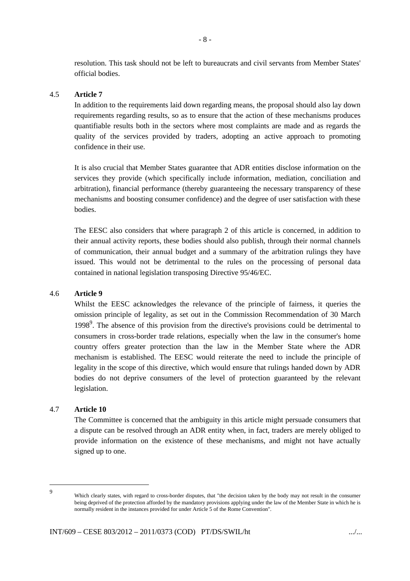resolution. This task should not be left to bureaucrats and civil servants from Member States' official bodies.

# 4.5 **Article 7**

In addition to the requirements laid down regarding means, the proposal should also lay down requirements regarding results, so as to ensure that the action of these mechanisms produces quantifiable results both in the sectors where most complaints are made and as regards the quality of the services provided by traders, adopting an active approach to promoting confidence in their use.

It is also crucial that Member States guarantee that ADR entities disclose information on the services they provide (which specifically include information, mediation, conciliation and arbitration), financial performance (thereby guaranteeing the necessary transparency of these mechanisms and boosting consumer confidence) and the degree of user satisfaction with these bodies.

The EESC also considers that where paragraph 2 of this article is concerned, in addition to their annual activity reports, these bodies should also publish, through their normal channels of communication, their annual budget and a summary of the arbitration rulings they have issued. This would not be detrimental to the rules on the processing of personal data contained in national legislation transposing Directive 95/46/EC.

### 4.6 **Article 9**

Whilst the EESC acknowledges the relevance of the principle of fairness, it queries the omission principle of legality, as set out in the Commission Recommendation of 30 March 1998<sup>9</sup>. The absence of this provision from the directive's provisions could be detrimental to consumers in cross-border trade relations, especially when the law in the consumer's home country offers greater protection than the law in the Member State where the ADR mechanism is established. The EESC would reiterate the need to include the principle of legality in the scope of this directive, which would ensure that rulings handed down by ADR bodies do not deprive consumers of the level of protection guaranteed by the relevant legislation.

### 4.7 **Article 10**

The Committee is concerned that the ambiguity in this article might persuade consumers that a dispute can be resolved through an ADR entity when, in fact, traders are merely obliged to provide information on the existence of these mechanisms, and might not have actually signed up to one.

l

<sup>9</sup> Which clearly states, with regard to cross-border disputes, that "the decision taken by the body may not result in the consumer being deprived of the protection afforded by the mandatory provisions applying under the law of the Member State in which he is normally resident in the instances provided for under Article 5 of the Rome Convention".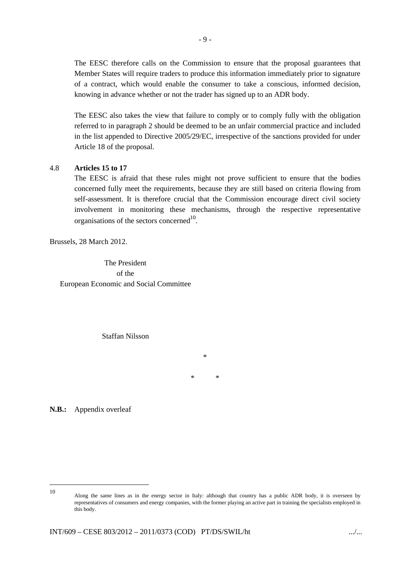The EESC therefore calls on the Commission to ensure that the proposal guarantees that Member States will require traders to produce this information immediately prior to signature of a contract, which would enable the consumer to take a conscious, informed decision, knowing in advance whether or not the trader has signed up to an ADR body.

The EESC also takes the view that failure to comply or to comply fully with the obligation referred to in paragraph 2 should be deemed to be an unfair commercial practice and included in the list appended to Directive 2005/29/EC, irrespective of the sanctions provided for under Article 18 of the proposal.

### 4.8 **Articles 15 to 17**

The EESC is afraid that these rules might not prove sufficient to ensure that the bodies concerned fully meet the requirements, because they are still based on criteria flowing from self-assessment. It is therefore crucial that the Commission encourage direct civil society involvement in monitoring these mechanisms, through the respective representative organisations of the sectors concerned $^{10}$ .

Brussels, 28 March 2012.

The President of the European Economic and Social Committee

Staffan Nilsson

\* \*

\*

**N.B.:** Appendix overleaf

l 10

Along the same lines as in the energy sector in Italy: although that country has a public ADR body, it is overseen by representatives of consumers and energy companies, with the former playing an active part in training the specialists employed in this body.